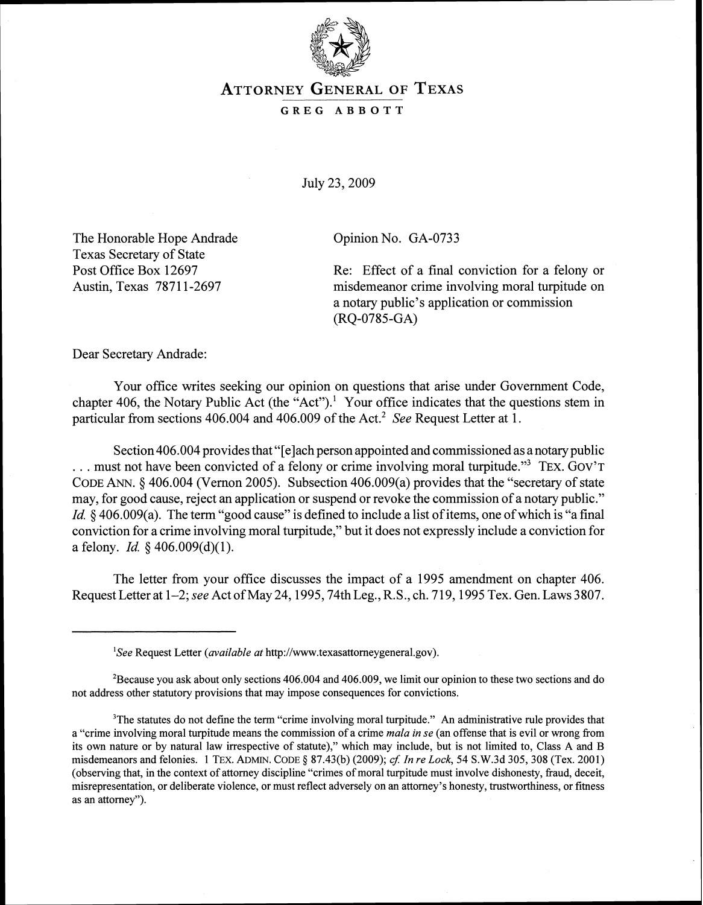

## **ATTORNEY GENERAL OF TEXAS**

## **GREG ABBOTT**

July 23,2009

The Honorable Hope Andrade Texas Secretary of State Post Office Box 12697 Austin, Texas 78711-2697

Opinion No. GA-0733

Re: Effect of a final conviction for a felony or misdemeanor crime involving moral turpitude on a notary public's application or commission (RQ-0785-GA)

Dear Secretary Andrade:

Your office writes seeking our opinion on questions that arise under Government Code, chapter 406, the Notary Public Act (the "Act").<sup>1</sup> Your office indicates that the questions stem in particular from sections 406.004 and 406.009 of the Act.<sup>2</sup> See Request Letter at 1.

Section 406.004 provides that "[elach person appointed and commissioned as anotary public  $\ldots$  must not have been convicted of a felony or crime involving moral turpitude."<sup>3</sup> TEX. GOV'T CODE ANN.  $\&$  406.004 (Vernon 2005). Subsection 406.009(a) provides that the "secretary of state may, for good cause, reject an application or suspend or revoke the commission of a notary public." *Id.* § 406.009(a). The term "good cause" is defined to include a list of items, one of which is "a final conviction for a crime involving moral turpitude," but it does not expressly include a conviction for a felony. *Id.*  $\frac{6}{9}$  406.009(d)(1).

The letter from your office discusses the impact of a 1995 amendment on chapter 406. Request Letter at 1-2; see Act of May 24,1995,74th Leg., R.S., ch. 719,1995 Tex. Gen. Laws 3807.

 ${}^{1}$ See Request Letter (*available at* http://www.texasattorneygeneral.gov).

<sup>&#</sup>x27;Because you ask about only sections 406.004 and 406.009, we limit our opinion to these two sections and do not address other statutory provisions that may impose consequences for convictions.

<sup>&</sup>lt;sup>3</sup>The statutes do not define the term "crime involving moral turpitude." An administrative rule provides that a "crime involving moral turpitude means the commission of a crime mala in se (an offense that is evil or wrong from its own nature or by natural law irrespective of statute)," which may include, but is not limited to, Class A and B misdemeanors and felonies. 1 TEX. ADMIN. CODE § 87.43(b) (2009); cf. In re Lock, 54 S.W.3d 305, 308 (Tex. 2001) (observing that, in the context of attorney discipline "crimes of moral turpitude must involve dishonesty, fraud, deceit, misrepresentation, or deliberate violence, or must reflect adversely on an attorney's honesty, trustworthiness, or fitness as an attorney").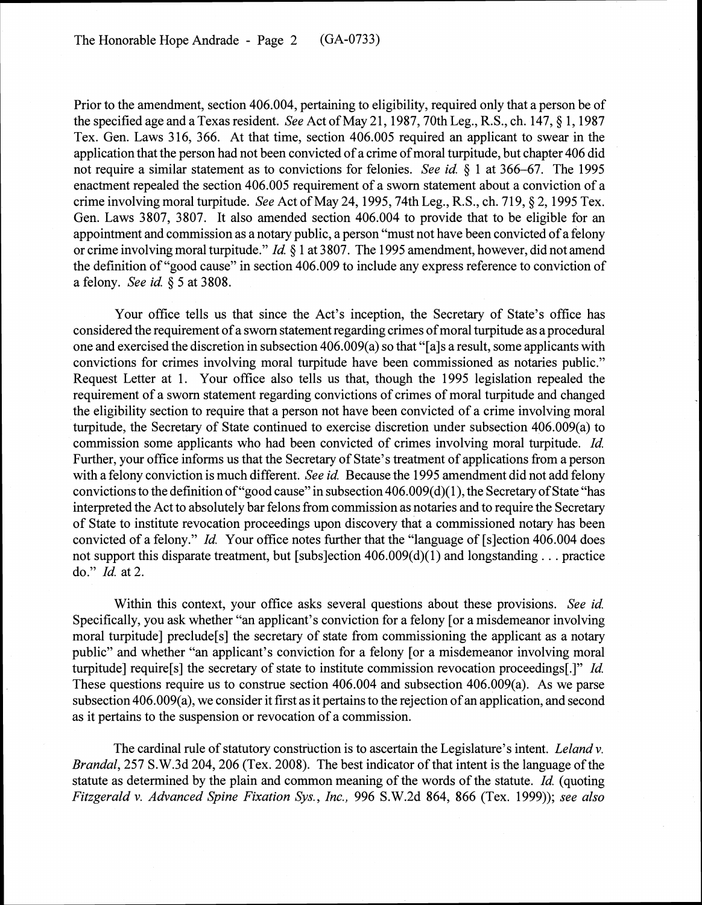Prior to the amendment, section 406.004, pertaining to eligibility, required only that a person be of the specified age and a Texas resident. *See* Act of May 21, 1987, 70th Leg., R.S., ch. 147, § 1, 1987 Tex. Gen. Laws 316, 366. At that time, section 406.005 required an applicant to swear in the application that the person had not been convicted of a crime of moral turpitude, but chapter 406 did not require a similar statement as to convictions for felonies. *See id.* \$ 1 at 366-67. The 1995 enactment repealed the section 406.005 requirement of a sworn statement about a conviction of a crime involving moral turpitude. *See* Act of May 24,1995,74th Leg., R.S., ch. 719, \$ 2, 1995 Tex. Gen. Laws 3807, 3807. It also amended section 406.004 to provide that to be eligible for an appointment and commission as a notary public, a person "must not have been convicted of a felony or crime involving moral turpitude." *Id. 5* 1 at 3807. The 1995 amendment, however, did not amend the definition of "good cause" in section 406.009 to include any express reference to conviction of a felony. *See id.* \$ 5 at 3808.

Your office tells us that since the Act's inception, the Secretary of State's office has considered the requirement of a sworn statement regarding crimes of moral turpitude as a procedural one and exercised the discretion in subsection 406.009(a) so that "[als a result, some applicants with convictions for crimes involving moral turpitude have been commissioned as notaries public.'' Request Letter at 1. Your office also tells us that, though the 1995 legislation repealed the requirement of a sworn statement regarding convictions of crimes of moral turpitude and changed the eligibility section to require that a person not have been convicted of a crime involving moral turpitude, the Secretary of State continued to exercise discretion under subsection 406.009(a) to commission some applicants who had been convicted of crimes involving moral turpitude. *Id.*  Further, your office informs us that the Secretary of State's treatment of applications from a person with a felony conviction is much different. *See id.* Because the 1995 amendment did not add felony convictions to the definition of "good cause" in subsection 406.009(d)(1), the Secretary of State "has interpreted the Act to absolutely bar felons from commission as notaries and to require the Secretary of State to institute revocation proceedings upon discovery that a commissioned notary has been convicted of a felony." *Id.* Your office notes further that the "language of [slection 406.004 does not support this disparate treatment, but [subs]ection 406.009(d)(1) and longstanding . . . practice do." *Id.* at 2.

Within this context, your office asks several questions about these provisions. *See id.*  Specifically, you ask whether "an applicant's conviction for a felony [or a misdemeanor involving moral turpitude] preclude[s] the secretary of state from commissioning the applicant as a notary public" and whether "an applicant's conviction for a felony [or a misdemeanor involving moral turpitude] require[s] the secretary of state to institute commission revocation proceedings[.]" *Id.*  These questions require us to construe section 406.004 and subsection 406.009(a). As we parse subsection 406.009(a), we consider it first as it pertains to the rejection of an application, and second as it pertains to the suspension or revocation of a commission.

The cardinal rule of statutory construction is to ascertain the Legislature's intent. *Leland v. Brandal*, 257 S.W.3d 204, 206 (Tex. 2008). The best indicator of that intent is the language of the statute as determined by the plain and common meaning of the words of the statute. *Id.* (quoting *Fitzgerald v. Advanced Spine Fixation Sys., Inc.,* 996 S.W.2d 864, 866 (Tex. 1999)); *see also*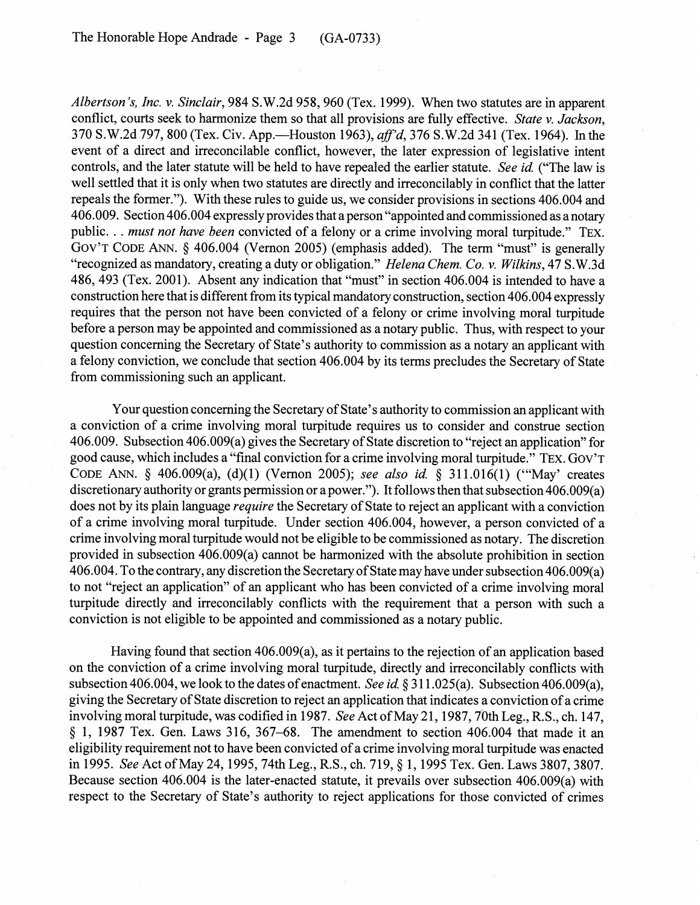Albertson's, Inc. v. Sinclair, 984 S.W.2d 958, 960 (Tex. 1999). When two statutes are in apparent conflict, courts seek to harmonize them so that all provisions are fully effective. State v. Jackson, 370 S.W.2d 797, 800 (Tex. Civ. App.—Houston 1963), aff'd, 376 S.W.2d 341 (Tex. 1964). In the event of a direct and irreconcilable conflict, however, the later expression of legislative intent controls, and the later statute will be held to have repealed the earlier statute. See id. ("The law is well settled that it is only when two statutes are directly and irreconcilably in conflict that the latter repeals the former."). With these rules to guide us, we consider provisions in sections 406.004 and 406.009. Section 406.004 expressly provides that aperson "appointed and commissioned as a notary public. . . must not have been convicted of a felony or a crime involving moral turpitude." TEX. GOV'T CODE ANN.  $\S$  406.004 (Vernon 2005) (emphasis added). The term "must" is generally "recognized as mandatory, creating a duty or obligation." Helena Chem. Co. v. Wilkins, 47 S.W.3d 486,493 (Tex. 2001). Absent any indication that "must" in section 406.004 is intended to have a construction here that is different from its typical mandatory construction, section 406.004 expressly requires that the person not have been convicted of a felony or crime involving moral turpitude before a person may be appointed and commissioned as a notary public. Thus, with respect to your question concerning the Secretary of State's authority to commission as a notary an applicant with a felony conviction, we conclude that section 406.004 by its terms precludes the Secretary of State from commissioning such an applicant.

Your question concerning the Secretary of State's authority to commission an applicant with a conviction of a crime involving moral turpitude requires us to consider and construe section 406.009. Subsection 406.009(a) gives the Secretary of State discretion to "reject an application" for good cause, which includes a "final conviction for a crime involving moral turpitude." TEX. GOV'T CODE ANN. § 406.009(a), (d)(1) (Vernon 2005); see also id. § 311.016(1) ("May' creates discretionary authority or grants permission or a power."). It follows then that subsection 406.009(a) does not by its plain language *require* the Secretary of State to reject an applicant with a conviction of a crime involving moral turpitude. Under section 406.004, however, a person convicted of a crime involving moral turpitude would not be eligible to be commissioned as notary. The discretion provided in subsection 406.009(a) cannot be harmonized with the absolute prohibition in section 406.004. To the contrary, any discretion the Secretary of State may have under subsection 406.009(a) to not "reject an application" of an applicant who has been convicted of a crime involving moral turpitude directly and irreconcilably conflicts with the requirement that a person with such a conviction is not eligible to be appointed and commissioned as a notary public.

Having found that section 406.009(a), as it pertains to the rejection of an application based on the conviction of a crime involving moral turpitude, directly and irreconcilably conflicts with subsection 406.004, we look to the dates of enactment. See id. § 311.025(a). Subsection 406.009(a), giving the Secretary of State discretion to reject an application that indicates a conviction of a crime involving moral turpitude, was codified in 1987. See Act of May 21, 1987, 70th Leg., R.S., ch. 147,  $\S$  1, 1987 Tex. Gen. Laws 316, 367–68. The amendment to section 406.004 that made it an eligibility requirement not to have been convicted of a crime involving moral turpitude was enacted in 1995. See Act of May 24, 1995, 74th Leg., R.S., ch. 719, § 1, 1995 Tex. Gen. Laws 3807, 3807. Because section 406.004 is the later-enacted statute, it prevails over subsection 406.009(a) with respect to the Secretary of State's authority to reject applications for those convicted of crimes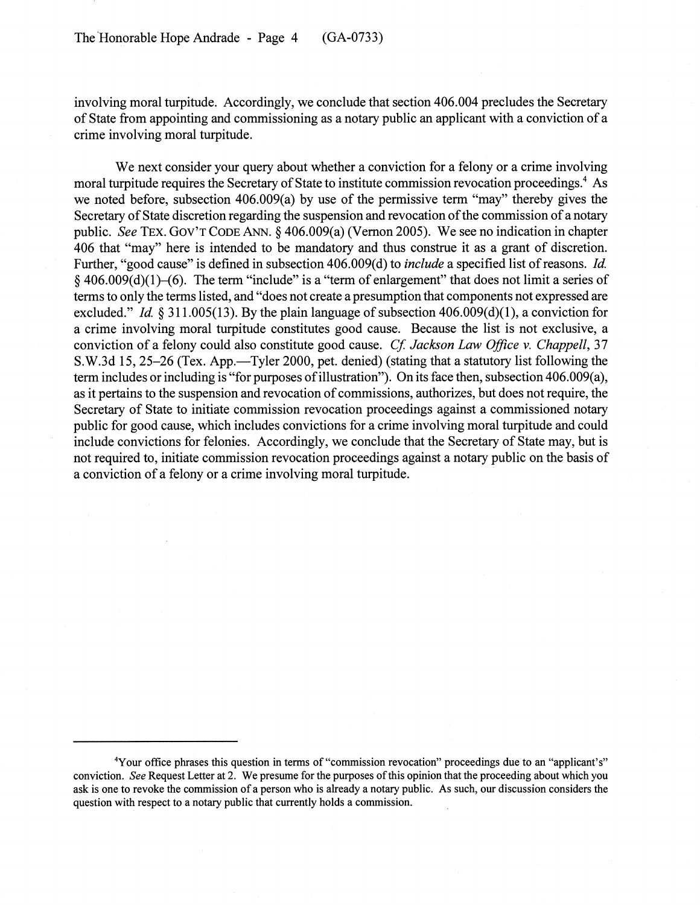involving moral turpitude. Accordingly, we conclude that section 406.004 precludes the Secretary of State from appointing and commissioning as a notary public an applicant with a conviction of a crime involving moral turpitude.

We next consider your query about whether a conviction for a felony or a crime involving moral turpitude requires the Secretary of State to institute commission revocation proceedings.<sup>4</sup> As we noted before, subsection 406.009(a) by use of the permissive term "may" thereby gives the Secretary of State discretion regarding the suspension and revocation of the commission of a notary public. See TEX. GOV'T CODE ANN. **8** 406.009(a) (Vernon 2005). We see no indication in chapter 406 that "may" here is intended to be mandatory and thus construe it as a grant of discretion. Further, "good cause" is defined in subsection 406.009(d) to include a specified list of reasons. Id. **5** 406.009(d)(l)-(6). The term "include" is a "term of enlargement" that does not limit a series of terms to only the terms listed, and "does not create apresumption that components not expressed are excluded." *Id.* § 311.005(13). By the plain language of subsection 406.009(d)(1), a conviction for a crime involving moral turpitude constitutes good cause. Because the list is not exclusive, a conviction of a felony could also constitute good cause. Cf. Jackson Law Office v. Chappell, 37 S.W.3d 15, 25-26 (Tex. App.—Tyler 2000, pet. denied) (stating that a statutory list following the term includes or including is "for purposes of illustration"). On its face then, subsection 406.009(a), as it pertains to the suspension and revocation of commissions, authorizes, but does not require, the Secretary of State to initiate commission revocation proceedings against a commissioned notary public for good cause, which includes convictions for a crime involving moral turpitude and could include convictions for felonies. Accordingly, we conclude that the Secretary of State may, but is not required to, initiate commission revocation proceedings against a notary public on the basis of a conviction of a felony or a crime involving moral turpitude.

<sup>4</sup>Your office phrases this question in terms of "commission revocation" proceedings due to an "applicant's" conviction. *See* Request Letter at 2. We presume for the purposes of this opinion that the proceeding about which you ask is one to revoke the commission of a person who is already a notary public. As such, our discussion considers the question with respect to a notary public that currently holds a commission.